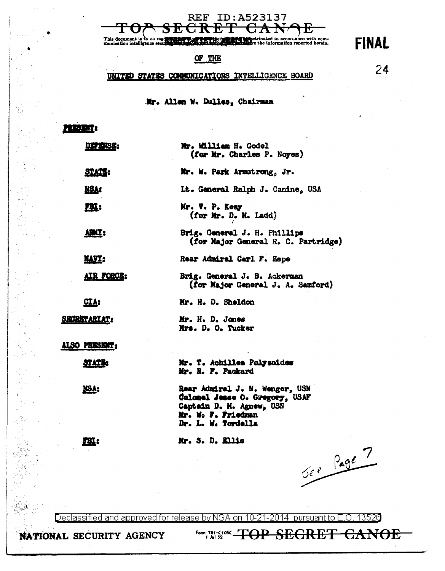ਚੋ t

**REF ID:A523137** 

ted in accordance with com-<br>information reported herein. This document is to be<br>munication intelligence

#### OF THE

### UNITED STATES COMMINICATIONS INTELLIGENCE BOARD

24

**FINAL** 

### Mr. Allen W. Dulles, Chairman

| <b>DEPENSE:</b>     | Mr. William H. Godel<br>(for Mr. Charles P. Noyes)                                                                                       |
|---------------------|------------------------------------------------------------------------------------------------------------------------------------------|
| STATE:              | Mr. W. Park Armstrong, Jr.                                                                                                               |
| <u>NSA</u> 1        | Lt. General Ralph J. Canine, USA                                                                                                         |
| <u>m:</u>           | Mr. V. P. Keay<br>(for Mr. D. M. Ladd)                                                                                                   |
| <b>ABIT:</b>        | Brig. General J. H. Phillips<br>(for Major General R. C. Partridge)                                                                      |
| <b>MATE:</b>        | Rear Admiral Carl F. Espe                                                                                                                |
| AIR FORCE:          | Brig. General J. B. Ackerman<br>(for Major General J. A. Samford)                                                                        |
| CLA:                | Mr. H. D. Sheldon                                                                                                                        |
| <b>SECRETARIAT:</b> | Mr. H. D. Jones<br>Mrs. D. O. Tucker                                                                                                     |
| also present:       |                                                                                                                                          |
| STATI:              | Mr. T. Achilles Polysoides<br>Mr. R. F. Packard                                                                                          |
| <b>RBY:</b>         | Rear Admiral J. N. Wenger, USN<br>Colonel Jesse O. Gregory, USAF<br>Captain D. M. Agnew, USN<br>Mr. W. F. Friedman<br>Dr. L. W. Tordella |
| ГЩ:                 | Mr. S. D. Ellis                                                                                                                          |
|                     | See Page 7                                                                                                                               |

Declassified and approved for release by NSA on 10-21-2014 pursuant to E.O. 13526

NATIONAL SECURITY AGENCY

Form 781-C10SC  $\leftarrow$   $\leftarrow$   $\leftarrow$   $\leftarrow$   $\leftarrow$ **SEGRET** <del>CANOE</del>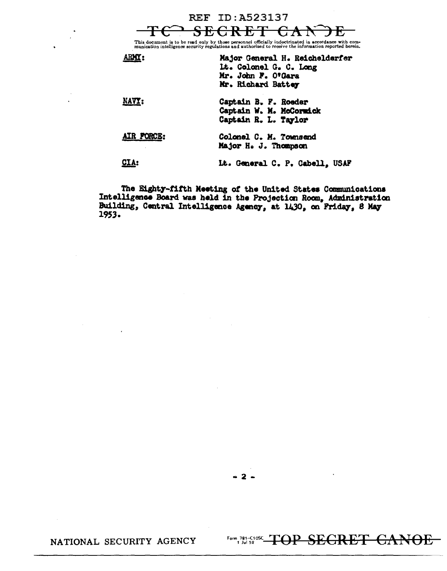REF ID: A523137<br><del>SECRET C</del> This document is to be read only by those personnel officially indoctrinated in accordance with com-<br>munication intelligence security regulations and authorized to receive the information reported herein.

|            | Major General H. Reichelderfer<br>It. Colonel G. C. Long<br>Mr. John F. O'Gara<br>Mr. Richard Battey |
|------------|------------------------------------------------------------------------------------------------------|
| NAVY:      | Captain B. F. Roeder<br>Captain W. M. McCormick<br>Captain R. L. Taylor                              |
| AIR FORCE: | Colonel C. M. Townsend<br>Major H. J. Thompson                                                       |
|            | Lt. General C. P. Cabell, USAF                                                                       |

The Eighty-fifth Meeting of the United States Communications Intelligence Board was held in the Projection Room, Administration Building, Central Intelligence Agency, at 1430, on Priday, 8 May 1953.

 $-2-$ 

Form 781-C108C TOP SECRET CANOE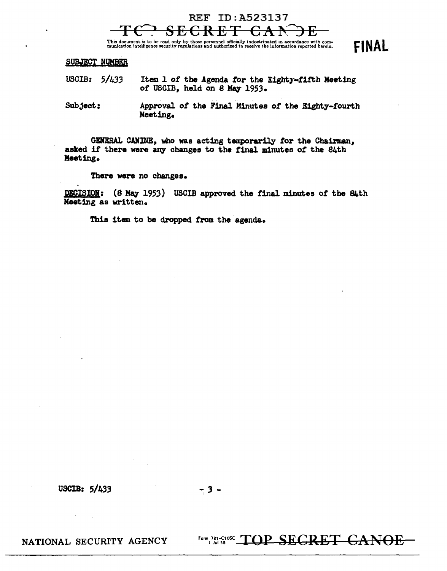# REF ID:A523137

This document is to be read only by those personnel officially indoctrinated in accordance with com-<br>munication intelligence security regulations and authorized to receive the information reported herein. FINAL

#### SUBJECT NUMBER

- USCIB: 5/433 Item 1 of the Agenda for the Eighty-fifth Meeting of USCIB, held on 8 May 1953.
- Subject: Approval of the Final Minutes of the Eighty-fourth Meeting.

GENERAL CANINE, who was acting temporarily for the Chairman, asked if there were any changes to the final minutes of the 84th Meeting.

There were no changes.

DECISION: (8 May 1953) USCIB approved the final minutes of the 84th Meeting as written.

Thia item to be dropped from the agenda.

USCIB: *S/433* -, *3* -

NATIONAL SECURITY AGENCY

Form 781-C1082 TOP SECRET CANOE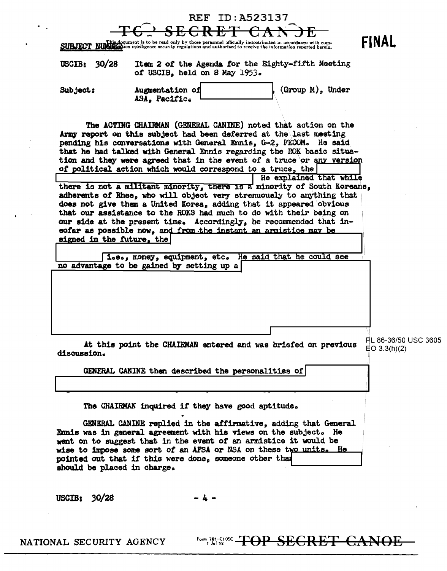|                             |                                                                                                                                                                                                                                                                                                                                                                                                                                                                                                                                                                                                                                                                   | <b>REF ID: A523137</b> |                                                                                                                                                                                                                                                                                                                             |                                         |
|-----------------------------|-------------------------------------------------------------------------------------------------------------------------------------------------------------------------------------------------------------------------------------------------------------------------------------------------------------------------------------------------------------------------------------------------------------------------------------------------------------------------------------------------------------------------------------------------------------------------------------------------------------------------------------------------------------------|------------------------|-----------------------------------------------------------------------------------------------------------------------------------------------------------------------------------------------------------------------------------------------------------------------------------------------------------------------------|-----------------------------------------|
|                             | SUBJECT NUMBER document is to be read only by those personnel officially indoctrinated in accordance with com-<br>SUBJECT NUMBER dion intelligence security regulations and authorized to receive the information reported herein                                                                                                                                                                                                                                                                                                                                                                                                                                 |                        |                                                                                                                                                                                                                                                                                                                             | <b>FINAL</b>                            |
| 30/28<br>USCIB:             | Item 2 of the Agenda for the Eighty-fifth Meeting<br>of USCIB, held on 8 May 1953.                                                                                                                                                                                                                                                                                                                                                                                                                                                                                                                                                                                |                        |                                                                                                                                                                                                                                                                                                                             |                                         |
| Subject:                    | Augmentation of<br>ASA, Pacific.                                                                                                                                                                                                                                                                                                                                                                                                                                                                                                                                                                                                                                  |                        | $(Group M)$ , Under                                                                                                                                                                                                                                                                                                         |                                         |
| signed in the future, the   | The ACTING CHAIRMAN (GENERAL CANINE) noted that action on the<br>Army report on this subject had been deferred at the last meeting<br>pending his conversations with General Ennis, G-2, FECOM. He said<br>of political action which would correspond to a truce, the<br>does not give them a United Korea, adding that it appeared obvious<br>that our assistance to the ROKS had much to do with their being on<br>our side at the present time. Accordingly, he recommended that in-<br>sofar as possible now, and from the instant an armistice may be<br>i.e., money, equipment, etc. He said that he could see<br>no advantage to be gained by setting up a |                        | that he had talked with General Ennis regarding the ROK basic situa-<br>tion and they were agreed that in the event of a truce or any version<br>He explained that while<br>there is not a militant minority, there is a minority of South Koreans,<br>adherents of Rhee, who will object very strenuously to anything that |                                         |
| discussion.                 | GENERAL CANINE then described the personalities of                                                                                                                                                                                                                                                                                                                                                                                                                                                                                                                                                                                                                |                        | At this point the CHAIRMAN entered and was briefed on previous                                                                                                                                                                                                                                                              | PL 86-36/50 USC 3605<br>$E$ O 3.3(h)(2) |
|                             |                                                                                                                                                                                                                                                                                                                                                                                                                                                                                                                                                                                                                                                                   |                        |                                                                                                                                                                                                                                                                                                                             |                                         |
| should be placed in charge. | The CHAIRMAN inquired if they have good aptitude.<br>Ennis was in general agreement with his views on the subject. He<br>went on to suggest that in the event of an armistice it would be<br>wise to impose some sort of an AFSA or NSA on these two units. He<br>pointed out that if this were done, someone other than                                                                                                                                                                                                                                                                                                                                          |                        | GENERAL CANINE replied in the affirmative, adding that General                                                                                                                                                                                                                                                              |                                         |

USCIB: 30/28

 $-4 -$ 

**Form, 781-510sc** TOP SEGRET CANOE

 $\epsilon$ 

NATIONAL SECURITY AGENCY

 $\bullet$ 

 $\sim 60\,$  km  $^{-1}$ 

 $\mathbf{Y}^{(1)}$  and  $\mathbf{Y}^{(2)}$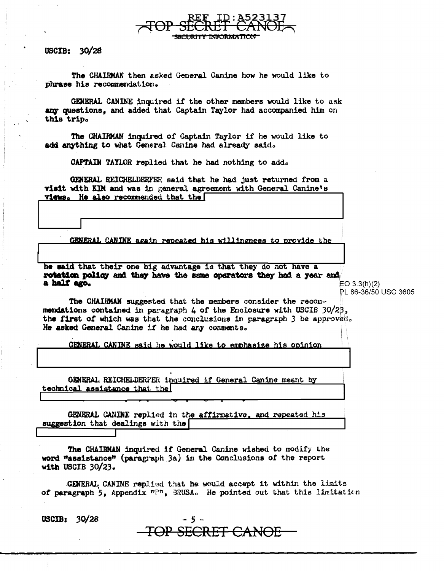USCIB:  $30/28$ 

The CHAIRMAN then asked General Canine how he would like to phrase his recommendation.

GENERAL CANINE inquired if the other members would like to ask any questions, and added that Captain Taylor had accompanied him on this trip.

The CHAIRMAN inquired of Captain Taylor if he would like to add anything to what General Canine had already said.

CAPTAIN TAYLOR replied that he had nothing to add.

GENERAL REICHELDERFER said that he had just returned from a visit with KIM and was in general agreement with General Canine's views. He also recommended that the

CENERAL CANINE again repeated his willingness to provide the

he said that their one big advantage is that they do not have a rotation policy and they have the same operators they had a year and a half ago.

EO  $3.3(h)(2)$ PL 86-36/50 USC 3605

The CHAIRMAN suggested that the members consider the recommendations contained in paragraph 4 of the Enclosure with USCIB 30/23, the first of which was that the conclusions in paragraph 3 be approved. He asked General Canine if he had any comments.

GENERAL CANINE said he would like to emphasize his opinion

GENERAL REICHELDERFER inquired if General Canine meant by technical assistance that the

GENERAL CANINE replied in the affirmative, and repeated his suggestion that dealings with the

The CHAIRMAN inquired if General Canine wished to modify the word "assistance" (paragraph 3a) in the Conclusions of the report with USCIB  $30/23$ .

GENERAL CANINE replied that he would accept it within the limits of paragraph 5, Appendix  $n \geq n$ , BRUSA. He pointed out that this limitation

TOP SECRET CANOE

-5 ∼

USCIB:  $30/28$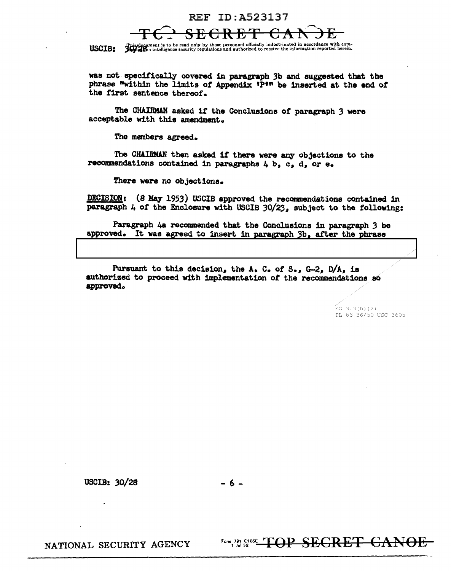### REF ID:A523137

This dependent is to be read only by those personnel officially indoctrinated in accordance with com-<br>USCIB: July 200 intelligence accurity regulations and authorized to receive the information reported herein.

was not specifically covered in paragraph 3b and suggested that the phrase "within the limits of Appendix 1P<sup>tn</sup> be inserted at the end of the first sentence thereof.

The CHAIRMAN asked 1t the Conclusions or paragraph *3* were acceptable with this amendment.

The members agreed.

The CHAIRMAN then asked it there were any objections to the recomnendations contained in paragraphs 4 b, c, d, or e.

There were no objections.

DECISION: (8 May 1953) USCIB approved the recommendations contained in paragraph  $4$  of the Enclosure with USCIB 30/23, subject to the following:

Paragraph 4a recommended that the Conclusions in paragraph 3 be approved. It was agreed to insert in paragraph 3b, after the phrase

Pursuant to this decision, the A. C. of S., G-2, D/A, is authorized to proceed with implementation of the recommendations so approved.

> $EO$  3.3(h)(2) PL 86-36/50 USC 3605

USCIB:  $30/28$  - 6 -

NATIONAL SECURITY AGENCY

Form 781-C10SC TOP SEGRET GANO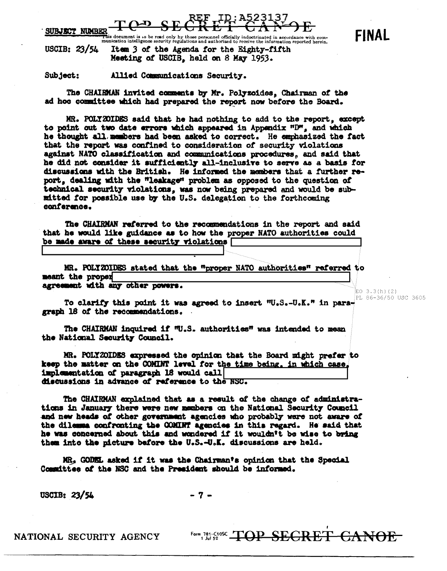$\Delta$ SUBJECT NIMBER

**XLE**<br>This document is to be read only by those personnel officially indoctrinated in accordance with com-<br>munication intelligence security regulations and authorized to receive the information reported herein. Item 3 of the Agenda for the Eighty-fifth USCIB:  $23/54$ Meeting of USCIB, held on 8 May 1953.

Subject: Allied Communications Security.

The CHAIRMAN invited comments by Mr. Polyzoides, Chairman of the ad hoc committee which had prepared the report now before the Board.

MR. POLYZOIDES said that he had nothing to add to the report, except to point out two date errors which appeared in Appendix "D", and which he thought all members had been asked to correct. He emphasized the fact that the report was confined to consideration of security violations against NATO classification and communications procedures, and said that he did not consider it sufficiently all-inclusive to serve as a basis for discussions with the British. He informed the members that a further report, dealing with the "leakage" problem as opposed to the question of technical security violations, was now being prepared and would be submitted for possible use by the U.S. delegation to the forthcoming conference.

The CHAIRMAN referred to the recommendations in the report and said that he would like guidance as to how the proper NATO authorities could be made aware of these security violations [

MR. POLYZOIDES stated that the "proper NATO authorities" referred to meant the proper agreement with any other powers.

To clarify this point it was agreed to insert "U.S.-U.K." in paragraph 16 of the recommendations.

The CHAIRMAN inquired if W.S. authorities" was intended to mean the National Security Council.

MR. POLYZOIDES expressed the opinion that the Board might prefer to keep the matter on the COMINT level for the time being, in which case. implementation of paragraph 18 would call discussions in advance of reference to the NSC.

The CHAIRMAN explained that as a result of the change of administrations in January there were new members on the National Security Council and new heads of other government agencies who probably were not aware of the dilemma confronting the COMINT agencies in this regard. He said that he was concerned about this and wondered if it wouldn't be wise to bring them into the picture before the U.S.-U.K. discussions are held.

MR, GODEL asked if it was the Chairman's opinion that the Special Committee of the NSC and the President should be informed.

USCIB: 23/54

 $-7-$ 

NATIONAL SECURITY AGENCY

Form 781-C1052 TOP SEGRET CANOF.

**FINAL** 

EO  $3.3(h)(2)$ 

PL 86-36/50 USC 3605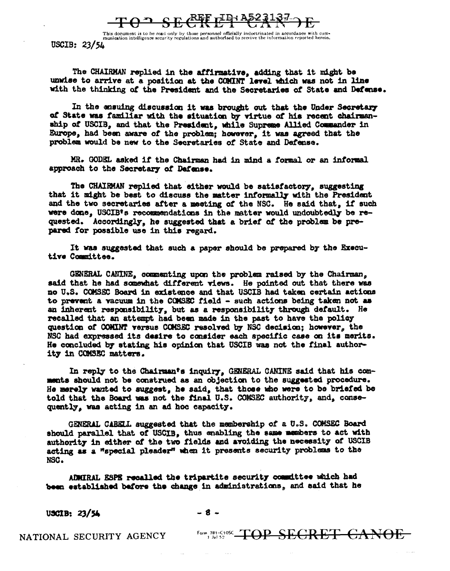<u>REF TID: A523137</u>

This document is to be read only by those personnel officially indoctrinated in accordance with com-<br>munication intelligence security regulations and authorized to receive the information reported herein. USCIB: 23/54

The CHAIRMAN replied in the affirmative, adding that it might be unwise to arrive at a position at the COMINT level which was not in line with the thinking of the President and the Secretaries of State and Defense.

In the ensuing discussion it was brought out that the Under Secretary of State was familiar with the situation by virtue of his recent chairmanship of USCIB, and that the President, while Supreme Allied Commander in Europe, had been aware of the problem; however, it was agreed that the problem would be new to the Secretaries of State and Defense.

MR. GODEL asked if the Chairman had in mind a formal or an informal approach to the Secretary of Defense.

The CHAIRMAN replied that either would be satisfactory, suggesting that it might be best to discuss the matter informally with the President and the two secretaries after a meeting of the NSC. He said that, if such were done. USCIB's recommendations in the matter would undoubtedly be requested. Accordingly, he suggested that a brief of the problem be prepared for possible use in this regard.

It was suggested that such a paper should be prepared by the Executive Committee.

GENERAL CANINE, commenting upon the problem raised by the Chairman, said that he had somewhat different views. He pointed out that there was no U.S. COMSEC Board in existence and that USCIB had taken certain actions to prevent a vacuum in the COMSEC field - such actions being taken not as an inherent responsibility, but as a responsibility through default. He recalled that an attempt had been made in the past to have the policy question of COMINT versus COMSEC resolved by NSC decision: however, the NSC had expressed its desire to consider each specific case on its merits. He concluded by stating his opinion that USCIB was not the final authority in COMSEC matters.

In reply to the Chairman's inquiry. GENERAL CANINE said that his comments should not be construed as an objection to the suggested procedure. He merely wanted to suggest, he said, that those who were to be briefed be told that the Board was not the final U.S. COMSEC authority, and, consequently, was acting in an ad hoc capacity.

GENERAL CABELL suggested that the membership of a U.S. COMSEC Board should parallel that of USCIB, thus enabling the same members to act with authority in either of the two fields and avoiding the necessity of USCIB acting as a "special pleader" when it presents security problems to the NSC.

AUMIRAL ESPS recalled the tripartite security commuttee which had been established before the change in administrations, and said that he

USCIB: 23/54

 $-8-$ 

NATIONAL SECURITY AGENCY

Form 181-C108C TOP SECRET CANOE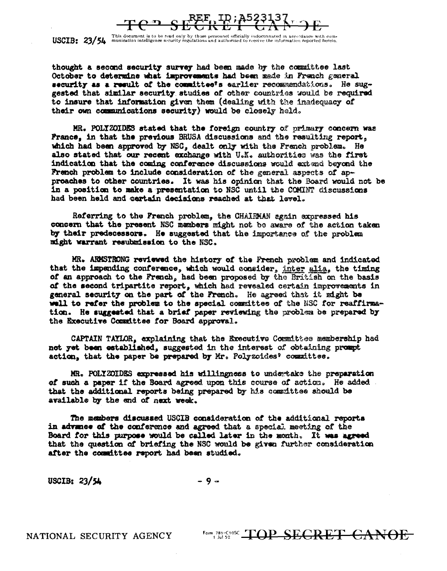

 $\text{USCIB:}$   $23/54$  This document is to be read only by those personnel officially indoctrinated in accordance with com-<br>USCIB:  $23/54$  munication intelligence security regulations and authorized to receive the information

thought a second security survey had been made by the committee last October to determine what improvements had been made in French general security as a result of the committee's earlier recommendations. He suggested that similar security studies of other countries would be required to insure that information given them (dealing with the inadequacy of their own communications security) would be closely held.

MR. POLYZOIDES stated that the foreign country of primary concern was France, in that the previous BRUSA discussions and the resulting report. which had been approved by NSC, dealt only with the French problem. He also stated that our recent exchange with U.X. authorities was the first indication that the coming conference discussions would extend beyond the French problem to include consideration of the general aspects of approaches to other countries. It was his opinion that the Board would not be in a position to make a presentation to NSC until the COMINT discussions had been held and cartain decisions reached at that level.

Referring to the French problem, the CHAIRMAN again expressed his concern that the present NSC members might not be aware of the action taken by their predecessors. He suggested that the importance of the problem might warrant resubmission to the NSC.

MR. ARMSTRONG reviewed the history of the French problem and indicated that the impending conference, which would consider, inter alia, the timing of an approach to the French, had been proposed by the British on the basis of the second tripartite report, which had revealed certain improvements in general security on the part of the French. He agreed that it might be well to refer the problem to the special committee of the NSC for reaffirmation. He suggested that a briaf paper reviewing the problem be prepared by the Executive Committee for Board approval.

CAPTAIN TAYLOR, explaining that the Executive Committee membership had not yet been established, suggested in the interest of obtaining prompt action, that the paper be prepared by Mr. Polyzcides' committee.

MR. POLIZOIDES expressed his willingness to undertake the preparation of such a paper if the Board agreed upon this course of action. He added. that the additional reports being prepared by his committee should be available by the end of next week.

The members discussed USCIB consideration of the additional reports in advance of the conference and agreed that a special meeting of the Board for this purpose would be called later in the month. It was agreed that the question of briefing the NSC would be given further consideration after the committee report had been studied.

USCIB:  $23/54$ 

 $-9 -$ 

NATIONAL SECURITY AGENCY

Form 781-C10SC TOP SEGRET CANOE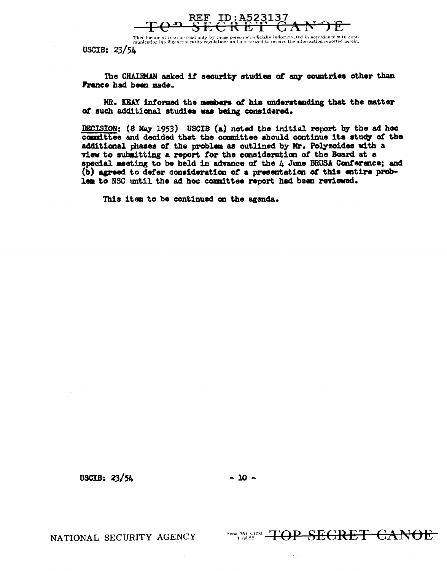

This document is to be read only by those personnel officially indoctrinated in accordance with com-<br>munication intelligence security regulations and actiorized to receive the information reported herein.

USCIB:  $23/5L$ 

The CHAIRMAN asked if security studies of any countries other than France had been made.

MR. KEAY informed the members of his understanding that the matter of such additional studies was being considered.

DECISION: (8 May 1953) USCIB (a) noted the initial report by the ad hoc committee and decided that the committee should continue its study of the additional phases of the problem as outlined by Mr. Polyzoides with a view to submitting a report for the consideration of the Board at a special meeting to be held in advance of the 4 June BRUSA Conference; and (b) agreed to defer consideration of a presentation of this entire problem to NSC until the ad hoc committee report had been reviewed.

This item to be continued on the agenda.

USCIB:  $23/54$ 

NATIONAL SECURITY AGENCY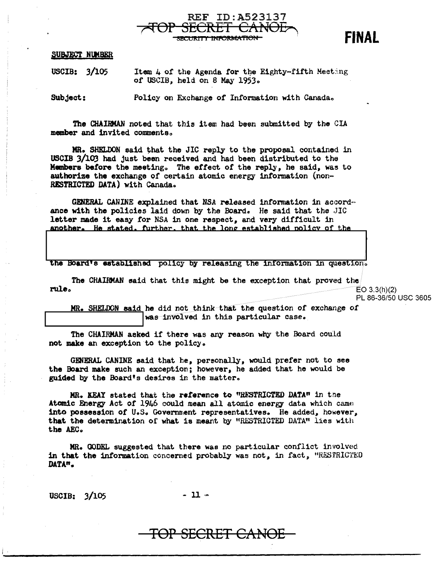

SUBJECT NUMBER

USCIB: 3/105 Item  $\mu$  of the Agenda for the Eighty=fifth Meeting of USCIB, held on 8 May 1953.

Subject: Policy on Exchange of Information with Canada.

The CHAIBMAN noted that this item had been submitted by the CIA member and invited comments.

MR. SHELDON said that the JIC reply to the proposal contained in USCIB 3/lO'J had just been received and had been distributed to the Members before the meetingo The effect *ot* the reply, he said, was to authorize the exchange of certain atomic energy information (non-RESTRICTED DATA) with Canada.

GENERAL CANINE explained that NSA released information in accord= ance with the policies laid down by the Board. He said that the JIC letter made it easy for NSA in one respect, and very difficult in another. He stated, further, that the long established policy of the

the Board's established policy by releasing the information in question.

The CHAIRMAN said that this might be the exception that proved the  $rule.6em$ 

PL 86-36/50 USC 3605

MR. SHELDON said he did not think that the question of exchange of **was involved** in this particular case.

The CHAIRMAN asked if there was any reason why the Board could not make an exception to the policy.

GENERAL CANINE said that he, personally, would prefer not to see the Board make such an exception ; however, he added that he would be guided by the Board's desires in the matter.

MR. KEAY stated that the reference to "R!STRICTED DATA" in the Atomic Energy Act of 1946 could mean all atomic energy data which came into possession of U.S. Government representatives. He added, however, that the determination of what is meant by "RESTRICTED DATA" lies with the AEC.

MR. GODEL suggested that there was no particular conflict involved in that the information concerned probably was not, in fact, "RESTRICTED DATA".

 $USCIB: 3/105$  - 11  $\sim$ 

i .

## TOP SECRET CANO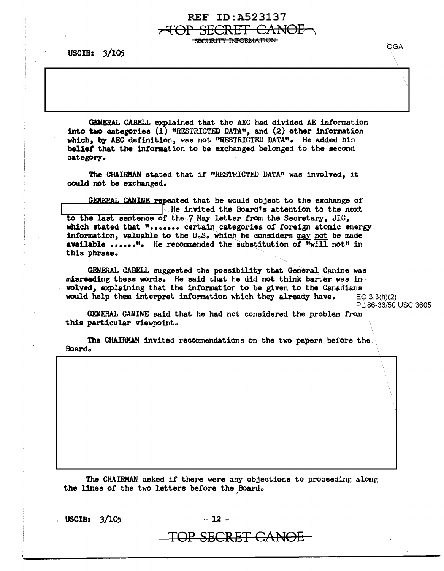**SECURITY INFORMATION-**

SECRET

REF ID: A523137

<del>CANOL</del>

USCIB: 3/105

GENERAL CABELL explained that the AEC had divided AE information into two categories (1) "RESTRICTED DATA", and (2) other information which, by AEC definition, was not "RESTRICTED DATA". He added his belief that the information to be exchanged belonged to the second category.

The CHAIRMAN stated that if "RESTRICTED DATA" was involved, it could not be exchanged.

GENERAL CANINE repeated that he would object to the exchange of He invited the Board's attention to the next to the last sentence of the 7 May letter from the Secretary, JIC, which stated that "....... certain categories of foreign atomic energy information, valuable to the U.S. which he considers may not be made available ......". He recommended the substitution of  $\overline{\text{m}}$ will not" in this phrase.

GENERAL CABELL suggested the possibility that General Canine was misreading these words. He said that he did not think barter was involved, explaining that the information to be given to the Canadians would help them interpret information which they already have.  $EO 3.3(h)(2)$ 

PL 86-36/50 USC 3605

GENERAL CANINE said that he had not considered the problem from this particular viewpoint.

The CHAIRMAN invited recommendations on the two papers before the Board.

The CHAIRMAN asked if there were any objections to proceeding along the lines of the two letters before the Board.

**USCIB: 3/105** 

 $-12 -$ 

TOP SECRET CANOE

**OGA**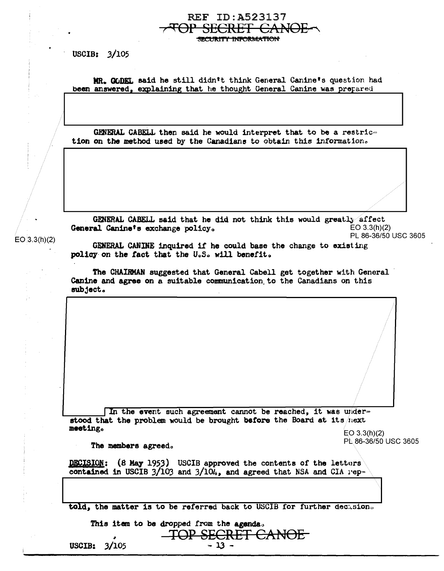USCIB:  $3/105$ 

MR. GODEL said he still didn't think General Canine's question had been answered, explaining that he thought General Canine was prepared

REF ID:A523137 SECRET CAN

**INFORMATION** 

GENERAL CABELL then said he would interpret that to be a restric= tion on the method used by the Canadians to obtain this information.

**GENERAL CABELL said that he did not think this would greatly affect**<br>al Canine's exchange policy.  $E = 3.3(h)(2)$ General Canine's exchange policy. PL 86-36/50 USC 3605

 $EO(3.3(h)(2)$ 

GENERAL CANINE inquired if he could base the change to existing policy on the fact that the U.S. will benefit.

The CHAIRMAN suggested that General Cabell get together with General Canine and agree on a suitable communication to the Canadians on this subject.

In the event such agreement cannot be reached, it was under= stood that the problem would be brought before the Board at its *next* meeting. meeting.  $E = 3.3(h)(2)$ 

The members agreed. The members agreed and planning proposed by  $PL$  86-36/50 USC 3605

DECISION: (8 May 1953) USCIB approved the contents of the letters contained in USCIB  $3/103$  and  $3/104$ , and agreed that NSA and CIA rep=

told, the matter is to be referred back to USCIB for further decasion.

agenda.

|                | This item to be dropped from the agenda. |
|----------------|------------------------------------------|
|                | <b>TOP SECRET CANOE</b>                  |
|                |                                          |
| USCIB: $3/105$ | $-13 -$                                  |
|                |                                          |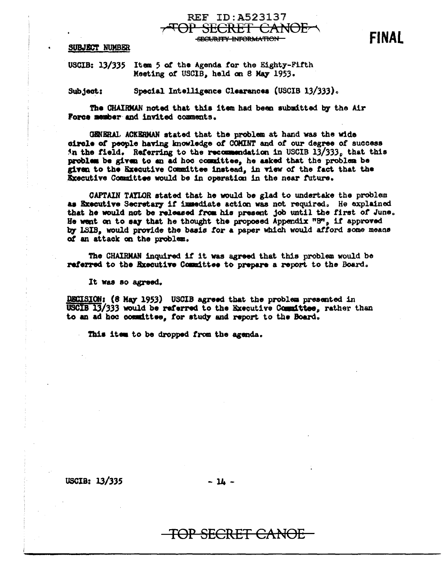SUBJECT NUMBER

USCIB: 13/335 Item 5 of the Agenda for the Eighty-Fifth Meeting of USCIB, held on 8 May 1953.

Special Intelligence Clearances (USCIB 13/333). Subject:

The CHAIRMAN noted that this item had been submitted by the Air Force member and invited comments.

GENERAL ACKERMAN stated that the problem at hand was the wide circle of people having knowledge of COMINT and of our degree of success in the field. Referring to the recommendation in USCIB 13/333, that this problem be given to an ad hoc committee, he asked that the problem be given to the Executive Committee instead, in view of the fact that the Executive Committee would be in operation in the near future.

**REF ID:A523137** 

**SECURITY INFORMATION** 

SECRET CANOE

CAPTAIN TAYLOR stated that he would be glad to undertake the problem as Executive Secretary if immediate action was not required. He explained that he would not be released from his present job until the first of June. He went on to say that he thought the proposed Appendix "B". if approved by LSIB. would provide the basis for a paper which would afford some means of an attack on the problem.

The CHAIRMAN inquired if it was agreed that this problem would be referred to the Executive Committee to prepare a report to the Board.

It was so agreed.

DECISION: (8 May 1953) USCIB agreed that the problem presented in USCIB 13/333 would be referred to the Executive Committee, rather than to an ad hoc committee, for study and report to the Board.

This item to be dropped from the agenda.

**USCIB: 13/335** 

 $-14 -$ 

### TOP SECRET CANOE

**FINAL**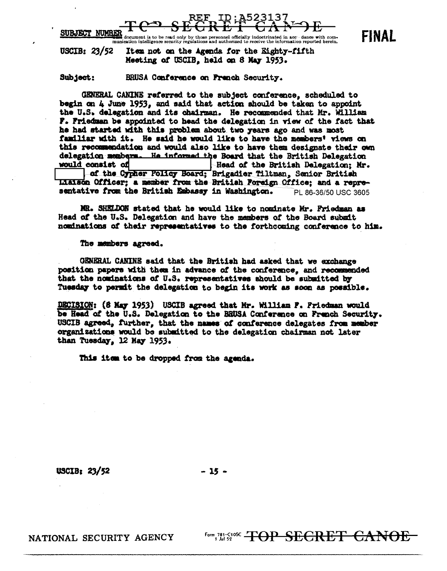

 $\frac{1}{2}$ <br>**The** document is to be read only by those personnel officially indoctrinated in accept dance with communication<br>munication intelligence security regulations and authorized to receive the information reported he

USCIB:  $23/52$ Item not on the Agenda for the Eighty-fifth Meeting of USCIB, held on 8 May 1953.

Subject: BRUSA Conference on French Security.

GENERAL CANINE referred to the subject conference, scheduled to begin on 4 June 1953, and said that action should be taken to appoint the U.S. delegation and its chairman. He recommended that Mr. William F. Friedman be appointed to head the delegation in view of the fact that he had started with this problem about two years ago and was most familiar with it. He said he would like to have the members' views on this recommendation and would also like to have them designate their own delegation members. He informed the Board that the British Delegation would consist of Head of the British Delegation; Mr. of the Cypher Policy Board; Brigadier Tiltman, Senior British Liaison Officer; a member from the British Foreign Office; and a representative from the British Embassy in Washington. PL 86-36/50 USC 3605

MR. SHELDON stated that he would like to nominate Mr. Friedman as Head of the U.S. Delegation and have the members of the Board submit nominations of their representatives to the forthcoming conference to him.

#### The members agreed.

GENERAL CANINE said that the British had asked that we exchange position papers with them in advance of the conference, and recommended that the nominations of U.S. representatives should be submitted by Tuesday to permit the delegation to begin its work as soon as possible.

DECISION: (8 May 1953) USCIB agreed that Mr. William P. Friedman would be Head of the U.S. Delegation to the BRUSA Conference on French Security. USCIB agreed, further, that the names of conference delegates from member organizations would be submitted to the delegation chairman not later than Tuesday, 12 May 1953.

This item to be dropped from the agenda.

**USCIB: 23/52** 

 $-15 -$ 

NATIONAL SECURITY AGENCY

**Form 781-C108C TOP SECRET CANOE** 

**FINAL**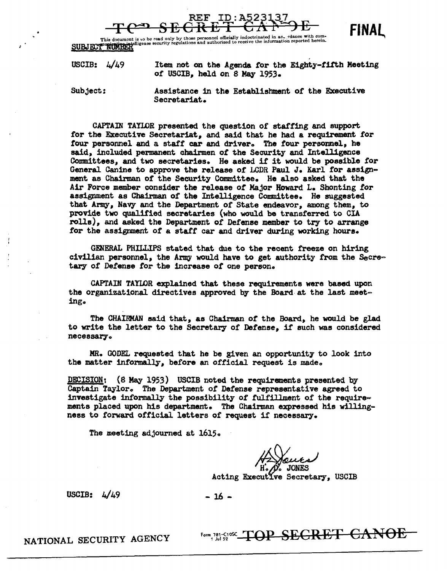



This document is to be read only by those personnel officially indoctrinated in ac. rdance with com-<br>SUBJECT INTERNATION and authorized to receive the information reported herein.

| USCIB: $4/49$ | Item not on the Agenda for the Eighty-fifth Meeting |
|---------------|-----------------------------------------------------|
|               | of USCIB, held on 8 May 1953.                       |

Subject: Assistance in the Establishment or the Executive Secretariat.

CAPTAIN TAYLOR presented the question of staffing and support *tor* the Executive Secretariat, and said that he had a requirement for four personnel and a staff car and driver. The four personnel, he said, included permanent chairmen *ot* the Security and Intelligence Committees, and two secretaries. He asked if it would be possible for General Canine to approve the release or LCDR Paul *J.* Karl tor assignment as Chairman of the Security Committee. He also asked that the Air Force member consider the release or Major Howard L. Shonting *tor*  assignment as Chairman or the Intelligence Committee. He suggested that Army, Navy and the Department or State endeavor, among them, to provide two qualified secretaries (who would be transferred to CIA rolls), and asked the Department of Defense member to try to arrange for the assignment of a staff car and driver during working hours.

GENERAL PHILLIPS stated that due to the recent freeze on hiring civilian personnel, the Army would have to get authority from the Secretary of Defense *tor* the increase *ot* one person.

CAPTAIN TAYIDR explained that these requirements were based upon the organizational directives approved by the Board at the last meeting.

The CHAIRMAN said that, as Chairman of the Board, he would be glad to write the letter to the Secretary *ot* Detense, ii' such was considered necessary.

MR. GODEL requested that he be g1 ven an opportunity to look into the matter informally, before an official request is made.

DECISION: (8 May 1953) USCIB noted the requirements presented by Captain Taylor. The Department of Defense representative agreed to investigate informally the possibility of fulfillment of the require $\sim$ ments placed upon his department. The Chairman expressed his willingness to forward official letters of request if necessary.

The meeting adjourned at 1615.

Acting Executive Secretary, USCIB

USCIB:  $4/49$  - 16 -

Form, 781-SIOS CHET CANOE

NATIONAL SECURITY AGENCY